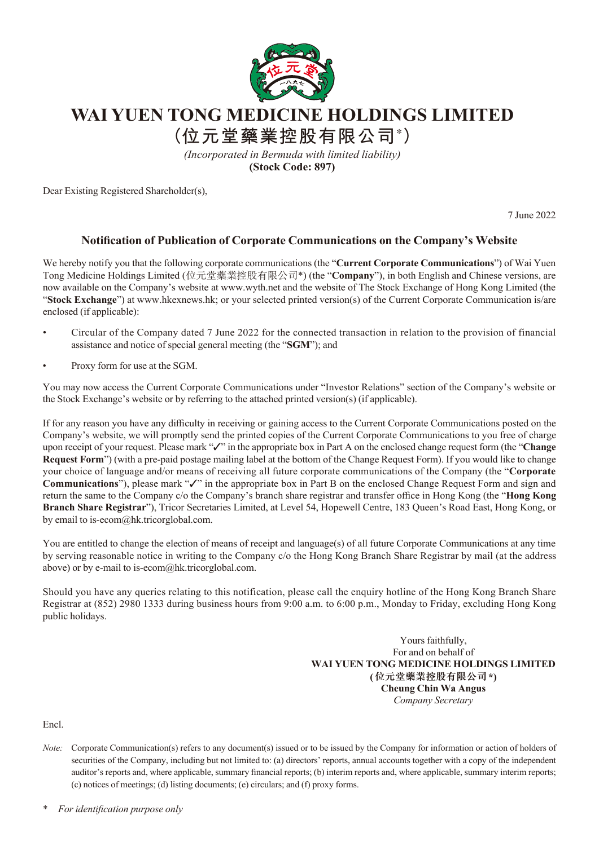

## **WAI YUEN TONG MEDICINE HOLDINGS LIMITED**

**(位元堂藥業控股有限公司\* )**

*(Incorporated in Bermuda with limited liability)* **(Stock Code: 897)**

Dear Existing Registered Shareholder(s),

7 June 2022

## **Notification of Publication of Corporate Communications on the Company's Website**

We hereby notify you that the following corporate communications (the "**Current Corporate Communications**") of Wai Yuen Tong Medicine Holdings Limited (位元堂藥業控股有限公司\*) (the "**Company**"), in both English and Chinese versions, are now available on the Company's website at www.wyth.net and the website of The Stock Exchange of Hong Kong Limited (the "**Stock Exchange**") at www.hkexnews.hk; or your selected printed version(s) of the Current Corporate Communication is/are enclosed (if applicable):

- Circular of the Company dated 7 June 2022 for the connected transaction in relation to the provision of financial assistance and notice of special general meeting (the "**SGM**"); and
- Proxy form for use at the SGM.

You may now access the Current Corporate Communications under "Investor Relations" section of the Company's website or the Stock Exchange's website or by referring to the attached printed version(s) (if applicable).

If for any reason you have any difficulty in receiving or gaining access to the Current Corporate Communications posted on the Company's website, we will promptly send the printed copies of the Current Corporate Communications to you free of charge upon receipt of your request. Please mark "✓" in the appropriate box in Part A on the enclosed change request form (the "**Change Request Form**") (with a pre-paid postage mailing label at the bottom of the Change Request Form). If you would like to change your choice of language and/or means of receiving all future corporate communications of the Company (the "**Corporate Communications**"), please mark "✓" in the appropriate box in Part B on the enclosed Change Request Form and sign and return the same to the Company c/o the Company's branch share registrar and transfer office in Hong Kong (the "**Hong Kong Branch Share Registrar**"), Tricor Secretaries Limited, at Level 54, Hopewell Centre, 183 Queen's Road East, Hong Kong, or by email to is-ecom@hk.tricorglobal.com.

You are entitled to change the election of means of receipt and language(s) of all future Corporate Communications at any time by serving reasonable notice in writing to the Company c/o the Hong Kong Branch Share Registrar by mail (at the address above) or by e-mail to is-ecom@hk.tricorglobal.com.

Should you have any queries relating to this notification, please call the enquiry hotline of the Hong Kong Branch Share Registrar at (852) 2980 1333 during business hours from 9:00 a.m. to 6:00 p.m., Monday to Friday, excluding Hong Kong public holidays.

> Yours faithfully, For and on behalf of **WAI YUEN TONG MEDICINE HOLDINGS LIMITED (位元堂藥業控股有限公司\*) Cheung Chin Wa Angus** *Company Secretary*

Encl.

\* *For identification purpose only*

*Note:* Corporate Communication(s) refers to any document(s) issued or to be issued by the Company for information or action of holders of securities of the Company, including but not limited to: (a) directors' reports, annual accounts together with a copy of the independent auditor's reports and, where applicable, summary financial reports; (b) interim reports and, where applicable, summary interim reports; (c) notices of meetings; (d) listing documents; (e) circulars; and (f) proxy forms.